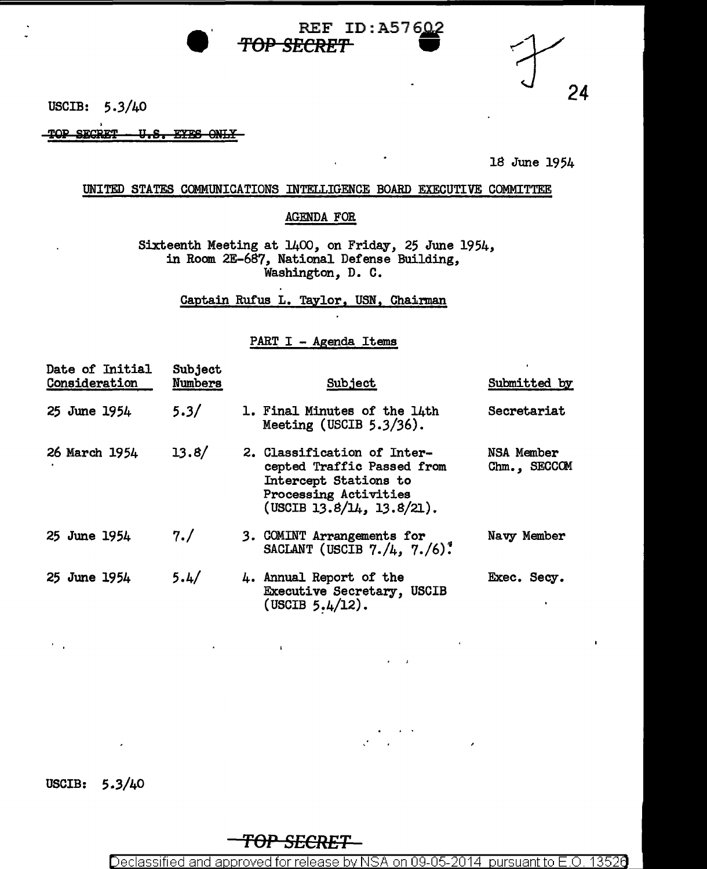USCIB: 5.3/40

TOP SECRET - U.S. EYES ONLY-

18 June 1954

24

## UNITED STATES COMMUNICATIONS INTELLIGENCE BOARD EXECUTIVE COMMITTEE

TOP SECRET

# AGENDA FOR

REF ID:A57602

Sixteenth Meeting at 1400, on Friday, 25 June 1954, in Room 2E-687, National Defense Building, Washington, D. C.

Captain Rufus L. Taylor, USN, Chairman

### PART I - Agenda Items

| Date of Initial<br>Consideration | Subject<br>Numbers | Subject                                                                                                                                  | Submitted by               |
|----------------------------------|--------------------|------------------------------------------------------------------------------------------------------------------------------------------|----------------------------|
| 25 June 1954                     | 5.3/               | 1. Final Minutes of the 14th<br>Meeting (USCIB $5.3/36$ ).                                                                               | Secretariat                |
| 26 March 1954                    | 13.8/              | 2. Classification of Inter-<br>cepted Traffic Passed from<br>Intercept Stations to<br>Processing Activities<br>(USCIB 13.8/14, 13.8/21). | NSA Member<br>Chm., SECCOM |
| 25 June 1954                     | 7. /               | 3. COMINT Arrangements for<br>SACLANT (USCIB $7. / 4$ , $7. / 6$ ).                                                                      | Navy Member                |
| 25 June 1954                     | 5.4/               | 4. Annual Report of the<br>Executive Secretary, USCIB<br>(USCIB $5.4/12$ ).                                                              | Exec. Secy.                |

USCIB: 5.3/40

*TOP SECRET* 

 $\mathbf{I}$ 

Declassified and approved for release by NSA on 09-05-2014 pursuant to E.O. 13526